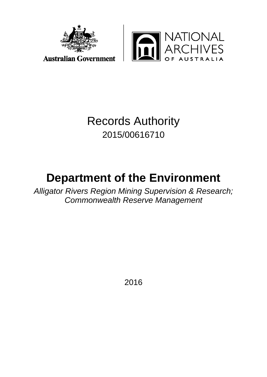



## Records Authority 2015/00616710

# **Department of the Environment**

*Alligator Rivers Region Mining Supervision & Research; Commonwealth Reserve Management*

2016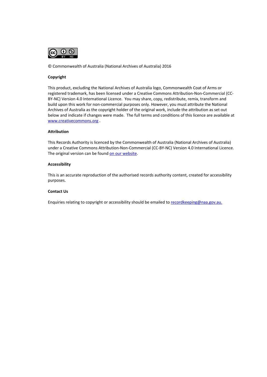

© Commonwealth of Australia (National Archives of Australia) 2016

#### **Copyright**

This product, excluding the National Archives of Australia logo, Commonwealth Coat of Arms or registered trademark, has been licensed under a Creative Commons Attribution-Non-Commercial (CC-BY-NC) Version 4.0 International Licence. You may share, copy, redistribute, remix, transform and build upon this work for non-commercial purposes only. However, you must attribute the National Archives of Australia as the copyright holder of the original work, include the attribution as set out below and indicate if changes were made. The full terms and conditions of this licence are available at [www.creativecommons.org](http://www.creativecommons.org/) .

#### **Attribution**

This Records Authority is licenced by the Commonwealth of Australia (National Archives of Australia) under a Creative Commons Attribution-Non-Commercial (CC-BY-NC) Version 4.0 International Licence. The original version can be foun[d on our website.](http://www.naa.gov.au/)

#### **Accessibility**

This is an accurate reproduction of the authorised records authority content, created for accessibility purposes.

#### **Contact Us**

Enquiries relating to copyright or accessibility should be emailed to [recordkeeping@naa.gov.au.](mailto:recordkeeping@naa.gov.au)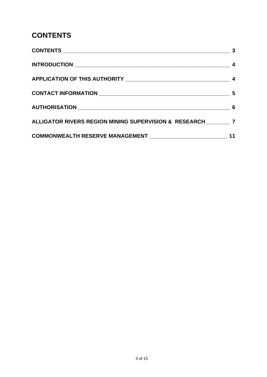## <span id="page-2-0"></span>**CONTENTS**

| ALLIGATOR RIVERS REGION MINING SUPERVISION & RESEARCH _________ 7 |  |
|-------------------------------------------------------------------|--|
|                                                                   |  |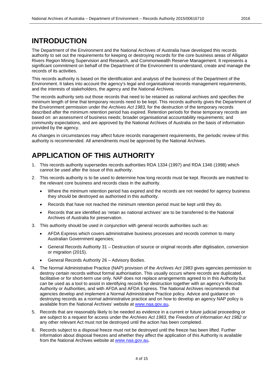#### <span id="page-3-0"></span>**INTRODUCTION**

The Department of the Environment and the National Archives of Australia have developed this records authority to set out the requirements for keeping or destroying records for the core business areas of Alligator Rivers Region Mining Supervision and Research, and Commonwealth Reserve Management. It represents a significant commitment on behalf of the Department of the Environment to understand, create and manage the records of its activities.

This records authority is based on the identification and analysis of the business of the Department of the Environment. It takes into account the agency's legal and organisational records management requirements, and the interests of stakeholders, the agency and the National Archives.

The records authority sets out those records that need to be retained as national archives and specifies the minimum length of time that temporary records need to be kept. This records authority gives the Department of the Environment permission under the *Archives Act 1983*, for the destruction of the temporary records described after the minimum retention period has expired. Retention periods for these temporary records are based on: an assessment of business needs; broader organisational accountability requirements; and community expectations, and are approved by the National Archives of Australia on the basis of information provided by the agency.

As changes in circumstances may affect future records management requirements, the periodic review of this authority is recommended. All amendments must be approved by the National Archives.

### <span id="page-3-1"></span>**APPLICATION OF THIS AUTHORITY**

- 1. This records authority supersedes records authorities RDA 1334 (1997) and RDA 1346 (1998) which cannot be used after the issue of this authority.
- 2. This records authority is to be used to determine how long records must be kept. Records are matched to the relevant core business and records class in the authority.
	- Where the minimum retention period has expired and the records are not needed for agency business they should be destroyed as authorised in this authority.
	- Records that have not reached the minimum retention period must be kept until they do.
	- Records that are identified as 'retain as national archives' are to be transferred to the National Archives of Australia for preservation.
- 3. This authority should be used in conjunction with general records authorities such as:
	- AFDA Express which covers administrative business processes and records common to many Australian Government agencies;
	- General Records Authority 31 Destruction of source or original records after digitisation, conversion or migration (2015).
	- General Records Authority 26 Advisory Bodies.
- 4. The Normal Administrative Practice (NAP) provision of the *Archives Act 1983* gives agencies permission to destroy certain records without formal authorisation. This usually occurs where records are duplicated, facilitative or for short-term use only. NAP does not replace arrangements agreed to in this Authority but can be used as a tool to assist in identifying records for destruction together with an agency's Records Authority or Authorities, and with AFDA and AFDA Express. The National Archives recommends that agencies develop and implement a Normal Administrative Practice policy. Advice and guidance on destroying records as a normal administrative practice and on how to develop an agency NAP policy is available from the National Archives' website at [www.naa.gov.au](http://www.naa.gov.au/)**.**
- 5. Records that are reasonably likely to be needed as evidence in a current or future judicial proceeding or are subject to a request for access under the *Archives Act 1983,* the *Freedom of Information Act 1982* or any other relevant Act must not be destroyed until the action has been completed.
- 6. Records subject to a disposal freeze must not be destroyed until the freeze has been lifted. Further information about disposal freezes and whether they affect the application of this Authority is available from the National Archives website at [www.naa.gov.au](http://www.naa.gov.au/)**.**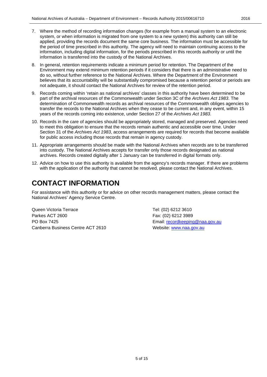- 7. Where the method of recording information changes (for example from a manual system to an electronic system, or when information is migrated from one system to a new system) this authority can still be applied, providing the records document the same core business. The information must be accessible for the period of time prescribed in this authority. The agency will need to maintain continuing access to the information, including digital information, for the periods prescribed in this records authority or until the information is transferred into the custody of the National Archives.
- 8. In general, retention requirements indicate a minimum period for retention. The Department of the Environment may extend minimum retention periods if it considers that there is an administrative need to do so, without further reference to the National Archives. Where the Department of the Environment believes that its accountability will be substantially compromised because a retention period or periods are not adequate, it should contact the National Archives for review of the retention period.
- 9. Records coming within 'retain as national archives' classes in this authority have been determined to be part of the archival resources of the Commonwealth under Section 3C of the *Archives Act 1983*. The determination of Commonwealth records as archival resources of the Commonwealth obliges agencies to transfer the records to the National Archives when they cease to be current and, in any event, within 15 years of the records coming into existence, under Section 27 of the *Archives Act 1983*.
- 10. Records in the care of agencies should be appropriately stored, managed and preserved. Agencies need to meet this obligation to ensure that the records remain authentic and accessible over time. Under Section 31 of the *Archives Act 1983*, access arrangements are required for records that become available for public access including those records that remain in agency custody.
- 11. Appropriate arrangements should be made with the National Archives when records are to be transferred into custody. The National Archives accepts for transfer only those records designated as national archives. Records created digitally after 1 January can be transferred in digital formats only.
- 12. Advice on how to use this authority is available from the agency's records manager. If there are problems with the application of the authority that cannot be resolved, please contact the National Archives.

#### <span id="page-4-0"></span>**CONTACT INFORMATION**

For assistance with this authority or for advice on other records management matters, please contact the National Archives' Agency Service Centre.

Queen Victoria Terrace Tel: (02) 6212 3610 Parkes ACT 2600 Fax: (02) 6212 3989 PO Box 7425 **PO Box 7425** Email: [recordkeeping@naa.gov.au](mailto:recordkeeping@naa.gov.au) Canberra Business Centre ACT 2610 Website: [www.naa.gov.au](http://www.naa.gov.au/)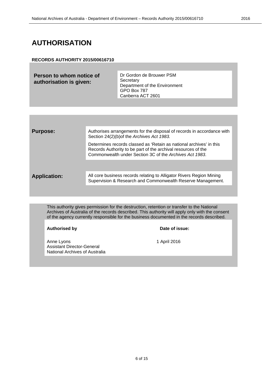### <span id="page-5-0"></span>**AUTHORISATION**

#### **RECORDS AUTHORITY 2015/00616710**

**Person to whom notice of authorisation is given:**

Dr Gordon de Brouwer PSM **Secretary** Department of the Environment GPO Box 787 Canberra ACT 2601

| <b>Purpose:</b>     | Authorises arrangements for the disposal of records in accordance with<br>Section 24(2)(b) of the Archives Act 1983.                                                                            |
|---------------------|-------------------------------------------------------------------------------------------------------------------------------------------------------------------------------------------------|
|                     | Determines records classed as 'Retain as national archives' in this<br>Records Authority to be part of the archival resources of the<br>Commonwealth under Section 3C of the Archives Act 1983. |
|                     |                                                                                                                                                                                                 |
| <b>Application:</b> | All core business records relating to Alligator Rivers Region Mining<br>Supervision & Research and Commonwealth Reserve Management.                                                             |
|                     |                                                                                                                                                                                                 |

This authority gives permission for the destruction, retention or transfer to the National Archives of Australia of the records described. This authority will apply only with the consent of the agency currently responsible for the business documented in the records described.

#### Authorised by **Date of issue:**

Anne Lyons 1 April 2016 Assistant Director-General National Archives of Australia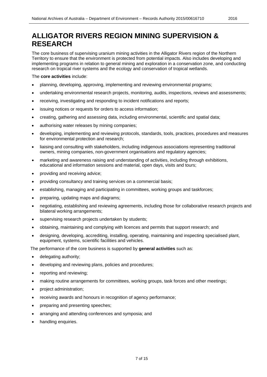<span id="page-6-0"></span>The core business of supervising uranium mining activities in the Alligator Rivers region of the Northern Territory to ensure that the environment is protected from potential impacts. Also includes developing and implementing programs in relation to general mining and exploration in a conservation zone, and conducting research on tropical river systems and the ecology and conservation of tropical wetlands.

The **core activities** include:

- planning, developing, approving, implementing and reviewing environmental programs;
- undertaking environmental research projects, monitoring, audits, inspections, reviews and assessments;
- receiving, investigating and responding to incident notifications and reports;
- issuing notices or requests for orders to access information;
- creating, gathering and assessing data, including environmental, scientific and spatial data;
- authorising water releases by mining companies;
- developing, implementing and reviewing protocols, standards, tools, practices, procedures and measures for environmental protection and research;
- liaising and consulting with stakeholders, including indigenous associations representing traditional owners, mining companies, non-government organisations and regulatory agencies;
- marketing and awareness raising and understanding of activities, including through exhibitions, educational and information sessions and material, open days, visits and tours;
- providing and receiving advice;
- providing consultancy and training services on a commercial basis;
- establishing, managing and participating in committees, working groups and taskforces;
- preparing, updating maps and diagrams;
- negotiating, establishing and reviewing agreements, including those for collaborative research projects and bilateral working arrangements;
- supervising research projects undertaken by students;
- obtaining, maintaining and complying with licences and permits that support research; and
- designing, developing, accrediting, installing, operating, maintaining and inspecting specialised plant, equipment, systems, scientific facilities and vehicles.

The performance of the core business is supported by **general activities** such as:

- delegating authority;
- developing and reviewing plans, policies and procedures;
- reporting and reviewing;
- making routine arrangements for committees, working groups, task forces and other meetings;
- project administration;
- receiving awards and honours in recognition of agency performance;
- preparing and presenting speeches;
- arranging and attending conferences and symposia; and
- handling enquiries.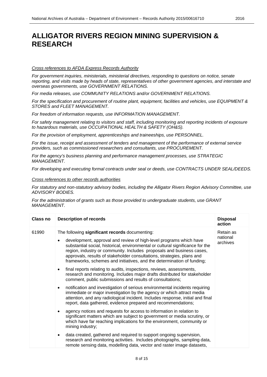#### *Cross references to AFDA Express Records Authority*

*For government inquiries, ministerials, ministerial directives, responding to questions on notice, senate reporting, and visits made by heads of state, representatives of other government agencies, and interstate and overseas governments, use GOVERNMENT RELATIONS.*

*For media releases, use COMMUNITY RELATIONS and/or GOVERNMENT RELATIONS.*

*For the specification and procurement of routine plant, equipment, facilities and vehicles, use EQUIPMENT & STORES and FLEET MANAGEMENT.*

*For freedom of information requests, use INFORMATION MANAGEMENT.*

*For safety management relating to visitors and staff, including monitoring and reporting incidents of exposure to hazardous materials, use OCCUPATIONAL HEALTH & SAFETY (OH&S).*

*For the provision of employment, apprenticeships and traineeships, use PERSONNEL.*

*For the issue, receipt and assessment of tenders and management of the performance of external service providers, such as commissioned researchers and consultants, use PROCUREMENT.*

*For the agency's business planning and performance management processes, use STRATEGIC MANAGEMENT.*

*For developing and executing formal contracts under seal or deeds, use CONTRACTS UNDER SEAL/DEEDS.*

#### *Cross references to other records authorities*

*For statutory and non-statutory advisory bodies, including the Alligator Rivers Region Advisory Committee, use ADVISORY BODIES.*

*For the administration of grants such as those provided to undergraduate students, use GRANT MANAGEMENT.*

| <b>Class no</b> | <b>Description of records</b>                                                                                                                                                                                                                                                                                                                                                     | <b>Disposal</b><br>action |
|-----------------|-----------------------------------------------------------------------------------------------------------------------------------------------------------------------------------------------------------------------------------------------------------------------------------------------------------------------------------------------------------------------------------|---------------------------|
| 61990           | The following significant records documenting:                                                                                                                                                                                                                                                                                                                                    | Retain as                 |
|                 | development, approval and review of high-level programs which have<br>substantial social, historical, environmental or cultural significance for the<br>region, industry or community. Includes proposals and business cases,<br>approvals, results of stakeholder consultations, strategies, plans and<br>frameworks, schemes and initiatives, and the determination of funding; | national<br>archives      |
|                 | final reports relating to audits, inspections, reviews, assessments,<br>research and monitoring. Includes major drafts distributed for stakeholder<br>comment, public submissions and results of consultations;                                                                                                                                                                   |                           |
|                 | notification and investigation of serious environmental incidents requiring<br>$\bullet$<br>immediate or major investigation by the agency or which attract media<br>attention, and any radiological incident. Includes response, initial and final<br>report, data gathered, evidence prepared and recommendations;                                                              |                           |
|                 | agency notices and requests for access to information in relation to<br>$\bullet$<br>significant matters which are subject to government or media scrutiny, or<br>which have far reaching implications for the environment, community or<br>mining industry;                                                                                                                      |                           |
|                 | data created, gathered and required to support ongoing supervision,<br>$\bullet$<br>research and monitoring activities. Includes photographs, sampling data,<br>remote sensing data, modelling data, vector and raster image datasets,                                                                                                                                            |                           |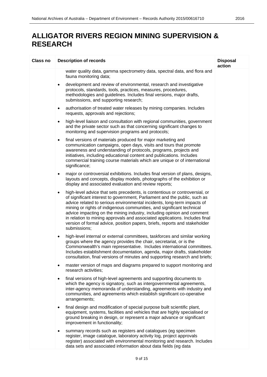| <b>Class no</b> | <b>Description of records</b>                                                                                                                                                                                                                                                                                                                                                                                                                                                                                                                                            | <b>Disposal</b><br>action |
|-----------------|--------------------------------------------------------------------------------------------------------------------------------------------------------------------------------------------------------------------------------------------------------------------------------------------------------------------------------------------------------------------------------------------------------------------------------------------------------------------------------------------------------------------------------------------------------------------------|---------------------------|
|                 | water quality data, gamma spectrometry data, spectral data, and flora and<br>fauna monitoring data;                                                                                                                                                                                                                                                                                                                                                                                                                                                                      |                           |
|                 | development and review of environmental, research and investigative<br>$\bullet$<br>protocols, standards, tools, practices, measures, procedures,<br>methodologies and guidelines. Includes final versions, major drafts,<br>submissions, and supporting research;                                                                                                                                                                                                                                                                                                       |                           |
|                 | authorisation of treated water releases by mining companies. Includes<br>٠<br>requests, approvals and rejections;                                                                                                                                                                                                                                                                                                                                                                                                                                                        |                           |
|                 | high-level liaison and consultation with regional communities, government<br>$\bullet$<br>and the private sector such as that concerning significant changes to<br>monitoring and supervision programs and protocols;                                                                                                                                                                                                                                                                                                                                                    |                           |
|                 | final versions of materials produced for major marketing and<br>$\bullet$<br>communication campaigns, open days, visits and tours that promote<br>awareness and understanding of protocols, programs, projects and<br>initiatives, including educational content and publications. Includes<br>commercial training course materials which are unique or of international<br>significance;                                                                                                                                                                                |                           |
|                 | major or controversial exhibitions. Includes final version of plans, designs,<br>٠<br>layouts and concepts, display models, photographs of the exhibition or<br>display and associated evaluation and review reports;                                                                                                                                                                                                                                                                                                                                                    |                           |
|                 | high-level advice that sets precedents, is contentious or controversial, or<br>٠<br>of significant interest to government, Parliament and the public, such as<br>advice related to serious environmental incidents, long-term impacts of<br>mining or rights of indigenous communities, and significant technical<br>advice impacting on the mining industry, including opinion and comment<br>in relation to mining approvals and associated applications. Includes final<br>version of formal advice, position papers, briefs, reports and stakeholder<br>submissions; |                           |
|                 | high-level internal or external committees, taskforces and similar working<br>$\bullet$<br>groups where the agency provides the chair, secretariat, or is the<br>Commonwealth's main representative. Includes international committees.<br>Includes establishment documentation, agenda, major drafts, stakeholder<br>consultation, final versions of minutes and supporting research and briefs;                                                                                                                                                                        |                           |
|                 | master version of maps and diagrams prepared to support monitoring and<br>$\bullet$<br>research activities;                                                                                                                                                                                                                                                                                                                                                                                                                                                              |                           |
|                 | final versions of high-level agreements and supporting documents to<br>$\bullet$<br>which the agency is signatory, such as intergovernmental agreements,<br>inter-agency memoranda of understanding, agreements with industry and<br>communities, and agreements which establish significant co-operative<br>arrangements;                                                                                                                                                                                                                                               |                           |
|                 | final design and modification of special purpose built scientific plant,<br>$\bullet$<br>equipment, systems, facilities and vehicles that are highly specialised or<br>ground breaking in design, or represent a major advance or significant<br>improvement in functionality;                                                                                                                                                                                                                                                                                           |                           |
|                 | summary records such as registers and catalogues (eg specimen<br>$\bullet$<br>register, image catalogue, laboratory activity log, project approvals<br>register) associated with environmental monitoring and research. Includes<br>data sets and associated information about data fields (eg data                                                                                                                                                                                                                                                                      |                           |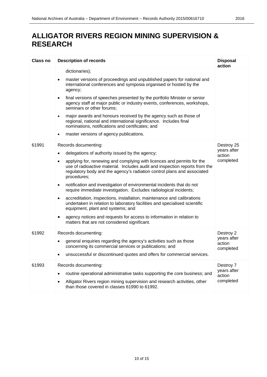| <b>Class no</b> | <b>Description of records</b>                                                                                                                                                                                                                                                                                                                                                                                                                                                                                                                                                                                                                                                                                                                                                                                                                    | <b>Disposal</b><br>action                        |
|-----------------|--------------------------------------------------------------------------------------------------------------------------------------------------------------------------------------------------------------------------------------------------------------------------------------------------------------------------------------------------------------------------------------------------------------------------------------------------------------------------------------------------------------------------------------------------------------------------------------------------------------------------------------------------------------------------------------------------------------------------------------------------------------------------------------------------------------------------------------------------|--------------------------------------------------|
|                 | dictionaries);<br>master versions of proceedings and unpublished papers for national and<br>$\bullet$<br>international conferences and symposia organised or hosted by the<br>agency;<br>final versions of speeches presented by the portfolio Minister or senior<br>$\bullet$<br>agency staff at major public or industry events, conferences, workshops,<br>seminars or other forums;<br>major awards and honours received by the agency such as those of<br>$\bullet$<br>regional, national and international significance. Includes final<br>nominations, notifications and certificates; and<br>master versions of agency publications.                                                                                                                                                                                                     |                                                  |
| 61991           | Records documenting:<br>delegations of authority issued by the agency;<br>applying for, renewing and complying with licences and permits for the<br>$\bullet$<br>use of radioactive material. Includes audit and inspection reports from the<br>regulatory body and the agency's radiation control plans and associated<br>procedures;<br>notification and investigation of environmental incidents that do not<br>$\bullet$<br>require immediate investigation. Excludes radiological incidents;<br>accreditation, inspections, installation, maintenance and calibrations<br>$\bullet$<br>undertaken in relation to laboratory facilities and specialised scientific<br>equipment, plant and systems; and<br>agency notices and requests for access to information in relation to<br>$\bullet$<br>matters that are not considered significant. | Destroy 25<br>years after<br>action<br>completed |
| 61992           | Records documenting:<br>general enquiries regarding the agency's activities such as those<br>concerning its commercial services or publications; and<br>unsuccessful or discontinued quotes and offers for commercial services.                                                                                                                                                                                                                                                                                                                                                                                                                                                                                                                                                                                                                  | Destroy 2<br>years after<br>action<br>completed  |
| 61993           | Records documenting:<br>routine operational administrative tasks supporting the core business; and<br>$\bullet$<br>Alligator Rivers region mining supervision and research activities, other<br>than those covered in classes 61990 to 61992.                                                                                                                                                                                                                                                                                                                                                                                                                                                                                                                                                                                                    | Destroy 7<br>years after<br>action<br>completed  |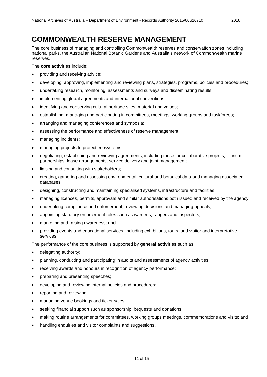<span id="page-10-0"></span>The core business of managing and controlling Commonwealth reserves and conservation zones including national parks, the Australian National Botanic Gardens and Australia's network of Commonwealth marine reserves.

The **core activities** include:

- providing and receiving advice;
- developing, approving, implementing and reviewing plans, strategies, programs, policies and procedures;
- undertaking research, monitoring, assessments and surveys and disseminating results;
- implementing global agreements and international conventions;
- identifying and conserving cultural heritage sites, material and values;
- establishing, managing and participating in committees, meetings, working groups and taskforces;
- arranging and managing conferences and symposia;
- assessing the performance and effectiveness of reserve management;
- managing incidents;
- managing projects to protect ecosystems;
- negotiating, establishing and reviewing agreements, including those for collaborative projects, tourism partnerships, lease arrangements, service delivery and joint management;
- liaising and consulting with stakeholders;
- creating, gathering and assessing environmental, cultural and botanical data and managing associated databases;
- designing, constructing and maintaining specialised systems, infrastructure and facilities;
- managing licences, permits, approvals and similar authorisations both issued and received by the agency;
- undertaking compliance and enforcement, reviewing decisions and managing appeals;
- appointing statutory enforcement roles such as wardens, rangers and inspectors;
- marketing and raising awareness; and
- providing events and educational services, including exhibitions, tours, and visitor and interpretative services.

The performance of the core business is supported by **general activities** such as:

- delegating authority;
- planning, conducting and participating in audits and assessments of agency activities;
- receiving awards and honours in recognition of agency performance;
- preparing and presenting speeches;
- developing and reviewing internal policies and procedures;
- reporting and reviewing;
- managing venue bookings and ticket sales;
- seeking financial support such as sponsorship, bequests and donations;
- making routine arrangements for committees, working groups meetings, commemorations and visits; and
- handling enquiries and visitor complaints and suggestions.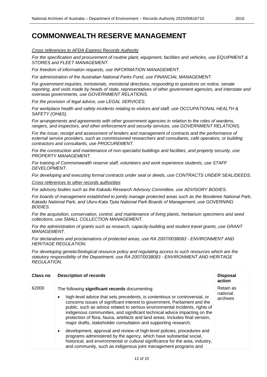*Cross references to AFDA Express Records Authority*

*For the specification and procurement of routine plant, equipment, facilities and vehicles, use EQUIPMENT & STORES and FLEET MANAGEMENT.*

*For freedom of information requests, use INFORMATION MANAGEMENT.*

*For administration of the Australian National Parks Fund, use FINANCIAL MANAGEMENT.*

*For government inquiries, ministerials, ministerial directives, responding to questions on notice, senate reporting, and visits made by heads of state, representatives of other government agencies, and interstate and overseas governments, use GOVERNMENT RELATIONS.*

*For the provision of legal advice, use LEGAL SERVICES.*

*For workplace health and safety incidents relating to visitors and staff, use OCCUPATIONAL HEALTH & SAFETY (OH&S).*

*For arrangements and agreements with other government agencies in relation to the roles of wardens, rangers, and inspectors, and other enforcement and security services, use GOVERNMENT RELATIONS.*

*For the issue, receipt and assessment of tenders and management of contracts and the performance of external service providers, such as commissioned researchers and consultants, café operators, or building contractors and consultants, use PROCUREMENT.*

*For the construction and maintenance of non-specialist buildings and facilities, and property security, use PROPERTY MANAGEMENT.*

*For training of Commonwealth reserve staff, volunteers and work experience students, use STAFF DEVELOPMENT.*

*For developing and executing formal contracts under seal or deeds, use CONTRACTS UNDER SEAL/DEEDS.*

*Cross references to other records authorities*

*For advisory bodies such as the Kakadu Research Advisory Committee, use ADVISORY BODIES.*

*For boards of management established to jointly manage protected areas such as the Booderee National Park, Kakadu National Park, and Uluru-Kata Tjuta National Park Boards of Management, use GOVERNING BODIES.*

*For the acquisition, conservation, control, and maintenance of living plants, herbarium specimens and seed collections, use SMALL COLLECTION MANAGEMENT.*

*For the administration of grants such as research, capacity-building and student travel grants, use GRANT MANAGEMENT.*

*For declarations and proclamations of protected areas, use RA 2007/0038083 - ENVIRONMENT AND HERITAGE REGULATION.*

*For developing genetic/biological resource policy and regulating access to such resources which are the statutory responsibility of the Department, use RA 2007/0038083 - ENVIRONMENT AND HERITAGE REGULATION.*

| Class no | <b>Description of records</b>                                                                                                                                                                                                                                                                                                                                                                                                                                                                                                                                                                                                                                                                                                                                                                                                                                | <b>Disposal</b><br>action         |
|----------|--------------------------------------------------------------------------------------------------------------------------------------------------------------------------------------------------------------------------------------------------------------------------------------------------------------------------------------------------------------------------------------------------------------------------------------------------------------------------------------------------------------------------------------------------------------------------------------------------------------------------------------------------------------------------------------------------------------------------------------------------------------------------------------------------------------------------------------------------------------|-----------------------------------|
| 62000    | The following significant records documenting:<br>high-level advice that sets precedents, is contentious or controversial, or<br>$\bullet$<br>concerns issues of significant interest to government, Parliament and the<br>public, such as advice related to serious environmental incidents, rights of<br>indigenous communities, and significant technical advice impacting on the<br>protection of flora, fauna, artefacts and land areas. Includes final version,<br>major drafts, stakeholder consultation and supporting research;<br>development, approval and review of high-level policies, procedures and<br>$\bullet$<br>programs administered by the agency, which have substantial social,<br>historical, and environmental or cultural significance for the area, industry,<br>and community, such as indigenous joint management programs and | Retain as<br>national<br>archives |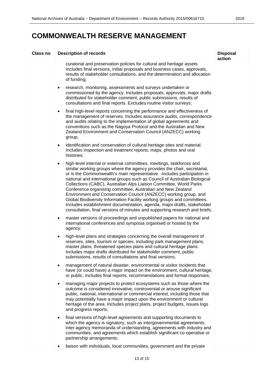| <b>Class no</b> | <b>Description of records</b>                                                                                                                                                                                                                                                                                                                                                                                                                                                                                                                                                                                                                                                                                                                                        | <b>Disposal</b><br>action |
|-----------------|----------------------------------------------------------------------------------------------------------------------------------------------------------------------------------------------------------------------------------------------------------------------------------------------------------------------------------------------------------------------------------------------------------------------------------------------------------------------------------------------------------------------------------------------------------------------------------------------------------------------------------------------------------------------------------------------------------------------------------------------------------------------|---------------------------|
|                 | curatorial and preservation policies for cultural and heritage assets.<br>Includes final versions, initial proposals and business cases, approvals,<br>results of stakeholder consultations, and the determination and allocation<br>of funding;                                                                                                                                                                                                                                                                                                                                                                                                                                                                                                                     |                           |
|                 | research, monitoring, assessments and surveys undertaken or<br>٠<br>commissioned by the agency. Includes proposals, approvals, major drafts<br>distributed for stakeholder comment, public submissions, results of<br>consultations and final reports. Excludes routine visitor surveys;                                                                                                                                                                                                                                                                                                                                                                                                                                                                             |                           |
|                 | final high-level reports concerning the performance and effectiveness of<br>$\bullet$<br>the management of reserves. Includes assurance audits, correspondence<br>and audits relating to the implementation of global agreements and<br>conventions such as the Nagoya Protocol and the Australian and New<br>Zealand Environment and Conservation Council (ANZECC) working<br>group;                                                                                                                                                                                                                                                                                                                                                                                |                           |
|                 | identification and conservation of cultural heritage sites and material.<br>$\bullet$<br>Includes inspection and treatment reports, maps, photos and oral<br>histories;                                                                                                                                                                                                                                                                                                                                                                                                                                                                                                                                                                                              |                           |
|                 | high-level internal or external committees, meetings, taskforces and<br>$\bullet$<br>similar working groups where the agency provides the chair, secretariat,<br>or is the Commonwealth's main representative. Includes participation in<br>national and international groups such as Council of Australian Biological<br>Collections (CABC), Australian Alps Liaison Committee, World Parks<br>Conference organising committee, Australian and New Zealand<br>Environment and Conservation Council (ANZECC) working group, and<br>Global Biodiversity Information Facility working groups and committees.<br>Includes establishment documentation, agenda, major drafts, stakeholder<br>consultation, final versions of minutes and supporting research and briefs; |                           |
|                 | master versions of proceedings and unpublished papers for national and<br>$\bullet$<br>international conferences and symposia organised or hosted by the<br>agency;                                                                                                                                                                                                                                                                                                                                                                                                                                                                                                                                                                                                  |                           |
|                 | high-level plans and strategies concerning the overall management of<br>$\bullet$<br>reserves, sites, tourism or species, including park management plans,<br>master plans, threatened species plans and cultural heritage plans.<br>Includes major drafts distributed for stakeholder comment, public<br>submissions, results of consultations and final versions;                                                                                                                                                                                                                                                                                                                                                                                                  |                           |
|                 | management of natural disaster, environmental or visitor incidents that<br>$\bullet$<br>have (or could have) a major impact on the environment, cultural heritage,<br>or public. Includes final reports, recommendations and formal responses;                                                                                                                                                                                                                                                                                                                                                                                                                                                                                                                       |                           |
|                 | managing major projects to protect ecosystems such as those where the<br>٠<br>outcome is considered innovative, controversial or arouse significant<br>public, national, international or commercial interest, including those that<br>may potentially have a major impact upon the environment or cultural<br>heritage of the area. Includes project plans, project budgets, issues logs<br>and progress reports;                                                                                                                                                                                                                                                                                                                                                   |                           |
|                 | final versions of high-level agreements and supporting documents to<br>$\bullet$<br>which the agency is signatory, such as intergovernmental agreements,<br>inter-agency memoranda of understanding, agreements with industry and<br>communities, and agreements which establish significant co-operative or<br>partnership arrangements;                                                                                                                                                                                                                                                                                                                                                                                                                            |                           |
|                 | liaison with individuals, local communities, government and the private                                                                                                                                                                                                                                                                                                                                                                                                                                                                                                                                                                                                                                                                                              |                           |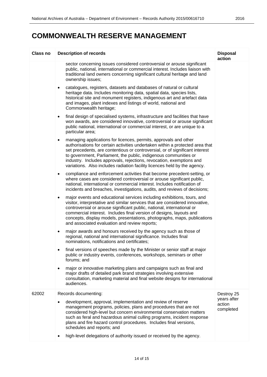| <b>Class no</b> | <b>Description of records</b>                                                                                                                                                                                                                                                                                                                                                                                                                                           | <b>Disposal</b><br>action          |
|-----------------|-------------------------------------------------------------------------------------------------------------------------------------------------------------------------------------------------------------------------------------------------------------------------------------------------------------------------------------------------------------------------------------------------------------------------------------------------------------------------|------------------------------------|
|                 | sector concerning issues considered controversial or arouse significant<br>public, national, international or commercial interest. Includes liaison with<br>traditional land owners concerning significant cultural heritage and land<br>ownership issues;                                                                                                                                                                                                              |                                    |
|                 | catalogues, registers, datasets and databases of natural or cultural<br>$\bullet$<br>heritage data. Includes monitoring data, spatial data, species lists,<br>historical site and monument registers, indigenous art and artefact data<br>and images, plant indexes and listings of world, national and<br>Commonwealth heritage;                                                                                                                                       |                                    |
|                 | final design of specialised systems, infrastructure and facilities that have<br>$\bullet$<br>won awards, are considered innovative, controversial or arouse significant<br>public national, international or commercial interest, or are unique to a<br>particular area;                                                                                                                                                                                                |                                    |
|                 | managing applications for licences, permits, approvals and other<br>$\bullet$<br>authorisations for certain activities undertaken within a protected area that<br>set precedents, are contentious or controversial, or of significant interest<br>to government, Parliament, the public, indigenous communities or<br>industry. Includes approvals, rejections, revocation, exemptions and<br>variations. Also includes radiation facility licences held by the agency. |                                    |
|                 | compliance and enforcement activities that become precedent-setting, or<br>$\bullet$<br>where cases are considered controversial or arouse significant public,<br>national, international or commercial interest. Includes notification of<br>incidents and breaches, investigations, audits, and reviews of decisions;                                                                                                                                                 |                                    |
|                 | major events and educational services including exhibitions, tours, and<br>$\bullet$<br>visitor, interpretative and similar services that are considered innovative,<br>controversial or arouse significant public, national, international or<br>commercial interest. Includes final version of designs, layouts and<br>concepts, display models, presentations, photographs, maps, publications<br>and associated evaluation and review reports;                      |                                    |
|                 | major awards and honours received by the agency such as those of<br>$\bullet$<br>regional, national and international significance. Includes final<br>nominations, notifications and certificates;                                                                                                                                                                                                                                                                      |                                    |
|                 | final versions of speeches made by the Minister or senior staff at major<br>public or industry events, conferences, workshops, seminars or other<br>forums; and                                                                                                                                                                                                                                                                                                         |                                    |
|                 | major or innovative marketing plans and campaigns such as final and<br>$\bullet$<br>major drafts of detailed park brand strategies involving extensive<br>consultation, marketing material and final website designs for international<br>audiences.                                                                                                                                                                                                                    |                                    |
| 62002           | Records documenting:                                                                                                                                                                                                                                                                                                                                                                                                                                                    | Destroy 25                         |
|                 | development, approval, implementation and review of reserve<br>$\bullet$<br>management programs, policies, plans and procedures that are not<br>considered high-level but concern environmental conservation matters<br>such as feral and hazardous animal culling programs, incident response<br>plans and fire hazard control procedures. Includes final versions,<br>schedules and reports; and                                                                      | years after<br>action<br>completed |
|                 | high-level delegations of authority issued or received by the agency.                                                                                                                                                                                                                                                                                                                                                                                                   |                                    |